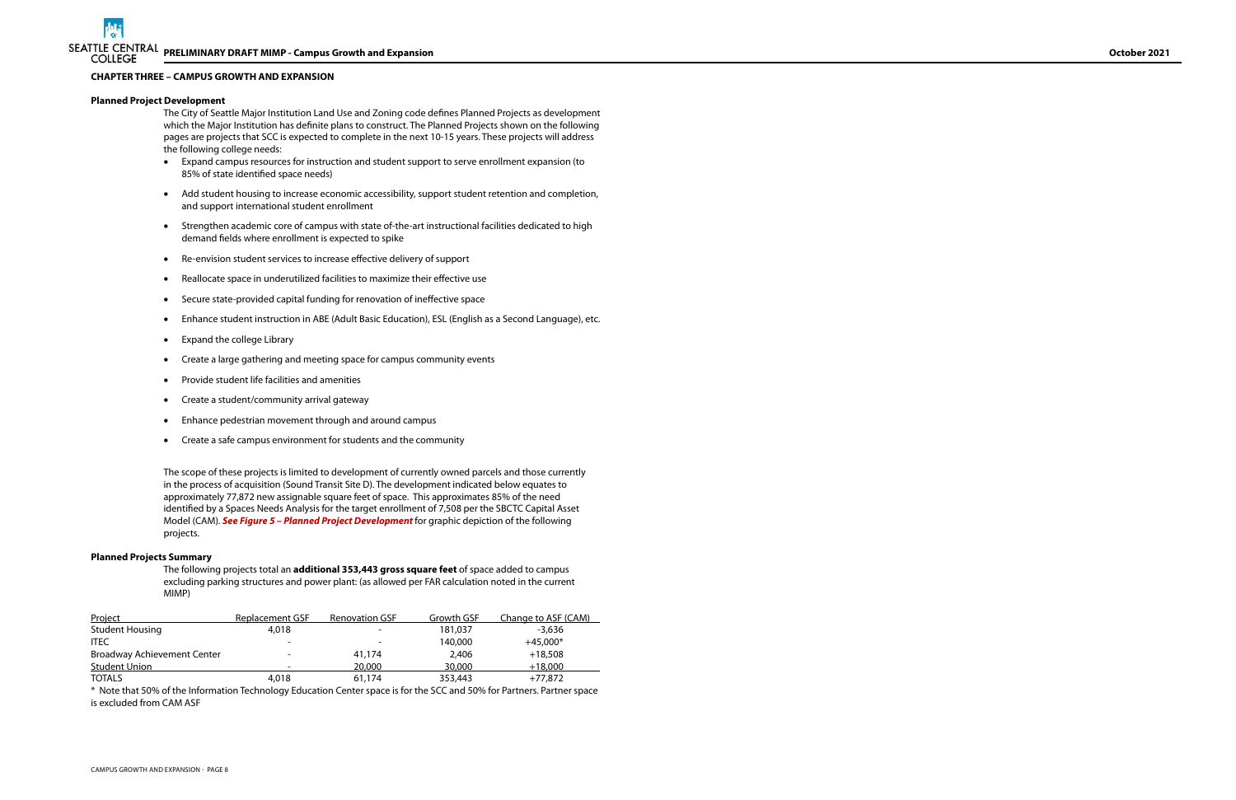#### **CHAPTER THREE – CAMPUS GROWTH AND EXPANSION**

#### **Planned Project Development**

The City of Seattle Major Institution Land Use and Zoning code defines Planned Projects as development which the Major Institution has definite plans to construct. The Planned Projects shown on the following pages are projects that SCC is expected to complete in the next 10-15 years. These projects will address the following college needs:

- · Expand campus resources for instruction and student support to serve enrollment expansion (to 85% of state identified space needs)
- · Add student housing to increase economic accessibility, support student retention and completion, and support international student enrollment
- · Strengthen academic core of campus with state of-the-art instructional facilities dedicated to high demand fields where enrollment is expected to spike
- Re-envision student services to increase effective delivery of support
- Reallocate space in underutilized facilities to maximize their effective use
- Secure state-provided capital funding for renovation of ineffective space
- · Enhance student instruction in ABE (Adult Basic Education), ESL (English as a Second Language), etc.
- · Expand the college Library
- · Create a large gathering and meeting space for campus community events
- · Provide student life facilities and amenities
- · Create a student/community arrival gateway
- · Enhance pedestrian movement through and around campus
- · Create a safe campus environment for students and the community

The scope of these projects is limited to development of currently owned parcels and those currently in the process of acquisition (Sound Transit Site D). The development indicated below equates to approximately 77,872 new assignable square feet of space. This approximates 85% of the need identified by a Spaces Needs Analysis for the target enrollment of 7,508 per the SBCTC Capital Asset Model (CAM). **See Figure 5 – Planned Project Development** for graphic depiction of the following projects.

#### **Planned Projects Summary**

 The following projects total an **additional 353,443 gross square feet** of space added to campus excluding parking structures and power plant: (as allowed per FAR calculation noted in the current MIMP)

| Project                     | Replacement GSF          | <b>Renovation GSF</b>    | Growth GSF | Change to ASF (CAM) |
|-----------------------------|--------------------------|--------------------------|------------|---------------------|
| <b>Student Housing</b>      | 4,018                    | $\overline{\phantom{a}}$ | 181.037    | -3.636              |
| <b>ITEC</b>                 | $\overline{\phantom{0}}$ | $\overline{\phantom{a}}$ | 140,000    | $+45.000*$          |
| Broadway Achievement Center |                          | 41,174                   | 2,406      | $+18.508$           |
| Student Union               |                          | 20,000                   | 30,000     | $+18,000$           |
| <b>TOTALS</b>               | 4,018                    | 61,174                   | 353,443    | +77.872             |

\* Note that 50% of the Information Technology Education Center space is for the SCC and 50% for Partners. Partner space is excluded from CAM ASF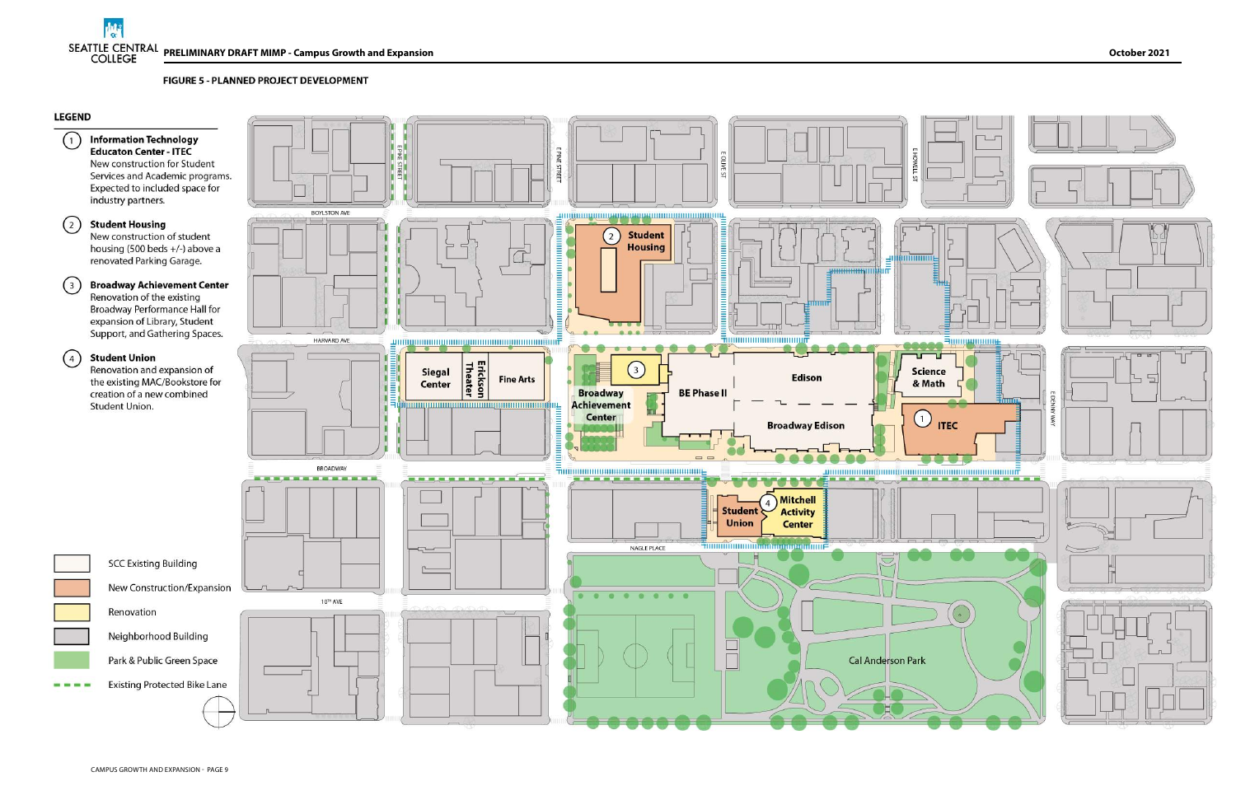**FIGURE 5 - PLANNED PROJECT DEVELOPMENT** 

## **LEGEND**







**Existing Protected Bike Lane** 

Neighborhood Building

Renovation

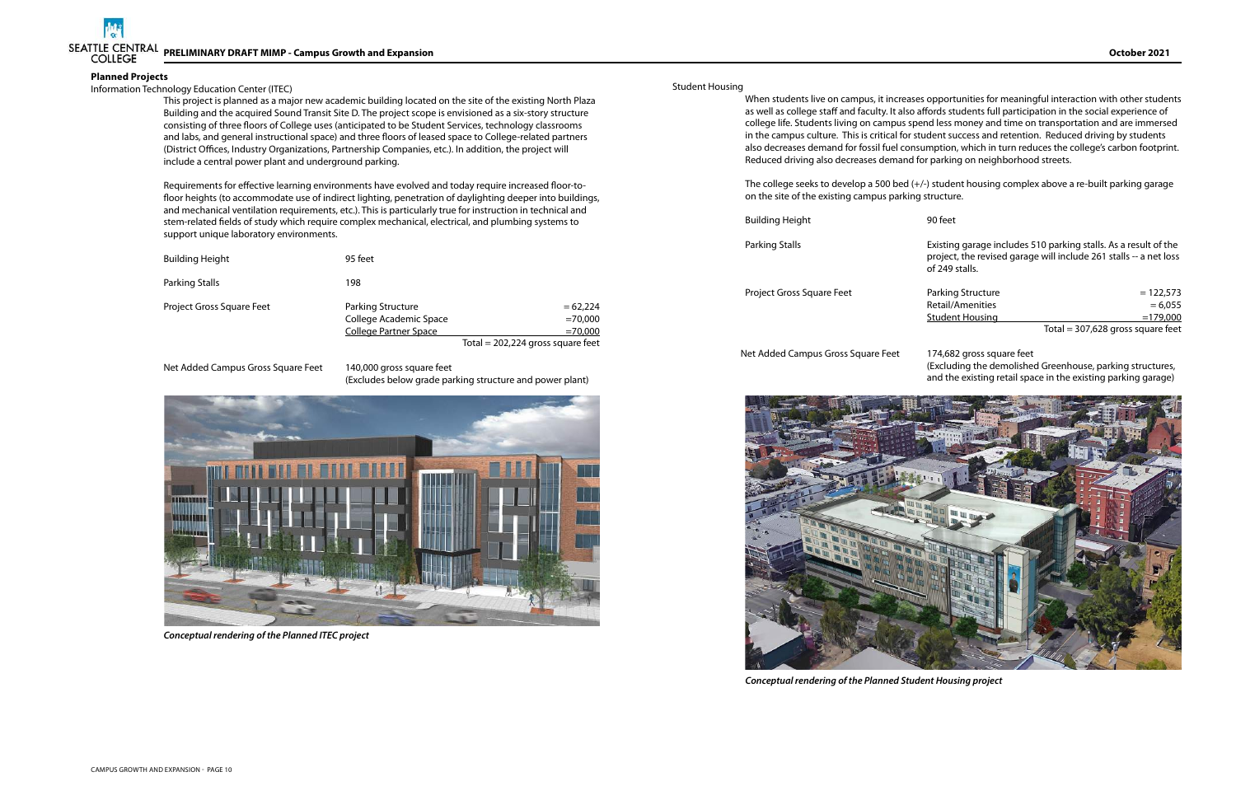

### **Planned Projects**

### Information Technology Education Center (ITEC)

This project is planned as a major new academic building located on the site of the existing North Plaza Building and the acquired Sound Transit Site D. The project scope is envisioned as a six-story structure consisting of three floors of College uses (anticipated to be Student Services, technology classrooms and labs, and general instructional space) and three floors of leased space to College-related partners (District Offices, Industry Organizations, Partnership Companies, etc.). In addition, the project will include a central power plant and underground parking.

Requirements for effective learning environments have evolved and today require increased floor-tofloor heights (to accommodate use of indirect lighting, penetration of daylighting deeper into buildings, and mechanical ventilation requirements, etc.). This is particularly true for instruction in technical and stem-related fields of study which require complex mechanical, electrical, and plumbing systems to support unique laboratory environments.

Parking Stalls **Existing garage includes 510 parking stalls. As a result of the** project, the revised garage will include 261 stalls -- a net loss of 249 stalls.

| <b>Building Height</b>    | 95 feet                                                                            |                                                                             |
|---------------------------|------------------------------------------------------------------------------------|-----------------------------------------------------------------------------|
| Parking Stalls            | 198                                                                                |                                                                             |
| Project Gross Square Feet | <b>Parking Structure</b><br>College Academic Space<br><b>College Partner Space</b> | $= 62.224$<br>$=70,000$<br>$=70,000$<br>Total = $202,224$ gross square feet |

Net Added Campus Gross Square Feet 140,000 gross square feet

(Excludes below grade parking structure and power plant)

#### Student Housing

When students live on campus, it increases opportunities for meaningful interaction with other students as well as college staff and faculty. It also affords students full participation in the social experience of college life. Students living on campus spend less money and time on transportation and are immersed in the campus culture. This is critical for student success and retention. Reduced driving by students also decreases demand for fossil fuel consumption, which in turn reduces the college's carbon footprint. Reduced driving also decreases demand for parking on neighborhood streets.

The college seeks to develop a 500 bed (+/-) student housing complex above a re-built parking garage on the site of the existing campus parking structure.

Building Height **90** feet

Project Gross Square Feet

### Net Added Campus Gross Square Feet 174,682 gross square feet

| Parking Structure      | $= 122.573$                         |
|------------------------|-------------------------------------|
| Retail/Amenities       | $= 6.055$                           |
| <b>Student Housing</b> | $=179,000$                          |
|                        | Total = $307,628$ gross square feet |

(Excluding the demolished Greenhouse, parking structures, and the existing retail space in the existing parking garage)



**Conceptual rendering of the Planned Student Housing project**



**Conceptual rendering of the Planned ITEC project**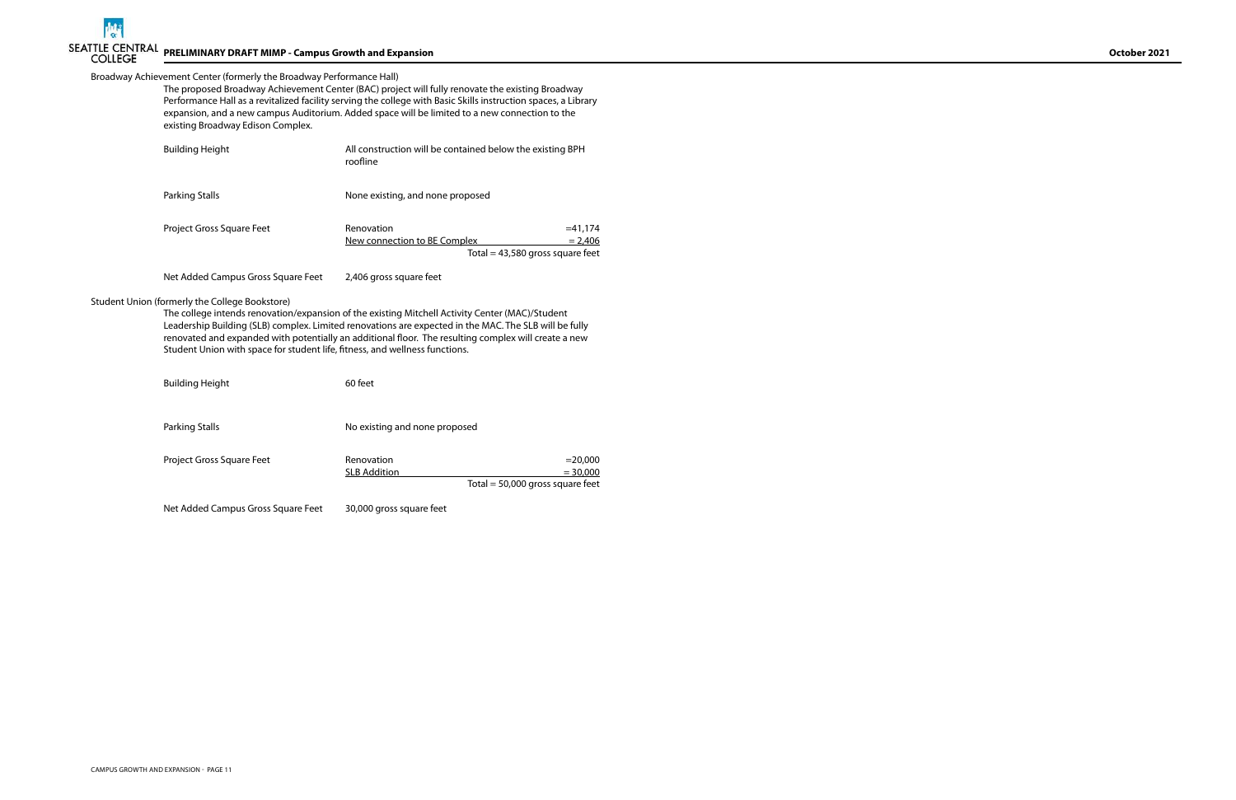### Broadway Achievement Center (formerly the Broadway Performance Hall)

| The proposed Broadway Achievement Center (BAC) project will fully renovate the existing Broadway               |
|----------------------------------------------------------------------------------------------------------------|
| Performance Hall as a revitalized facility serving the college with Basic Skills instruction spaces, a Library |
| expansion, and a new campus Auditorium. Added space will be limited to a new connection to the                 |
| existing Broadway Edison Complex.                                                                              |

The college intends renovation/expansion of the existing Mitchell Activity Center (MAC)/Student Leadership Building (SLB) complex. Limited renovations are expected in the MAC. The SLB will be fully renovated and expanded with potentially an additional floor. The resulting complex will create a new Student Union with space for student life, fitness, and wellness functions.

Building Height 60 feet

Parking Stalls **No existing and none proposed** 

| <b>Building Height</b>           | All construction will be contained below the existing BPH<br>roofline |                                                              |
|----------------------------------|-----------------------------------------------------------------------|--------------------------------------------------------------|
| Parking Stalls                   | None existing, and none proposed                                      |                                                              |
| <b>Project Gross Square Feet</b> | Renovation<br>New connection to BE Complex                            | $=41,174$<br>$= 2.406$<br>Total = $43,580$ gross square feet |

Net Added Campus Gross Square Feet 2,406 gross square feet

## Student Union (formerly the College Bookstore)

| Project Gross Square Feet | Renovation          | $= 20.000$                         |
|---------------------------|---------------------|------------------------------------|
|                           | <b>SLB Addition</b> | $= 30,000$                         |
|                           |                     | Total = $50,000$ gross square feet |

Net Added Campus Gross Square Feet 30,000 gross square feet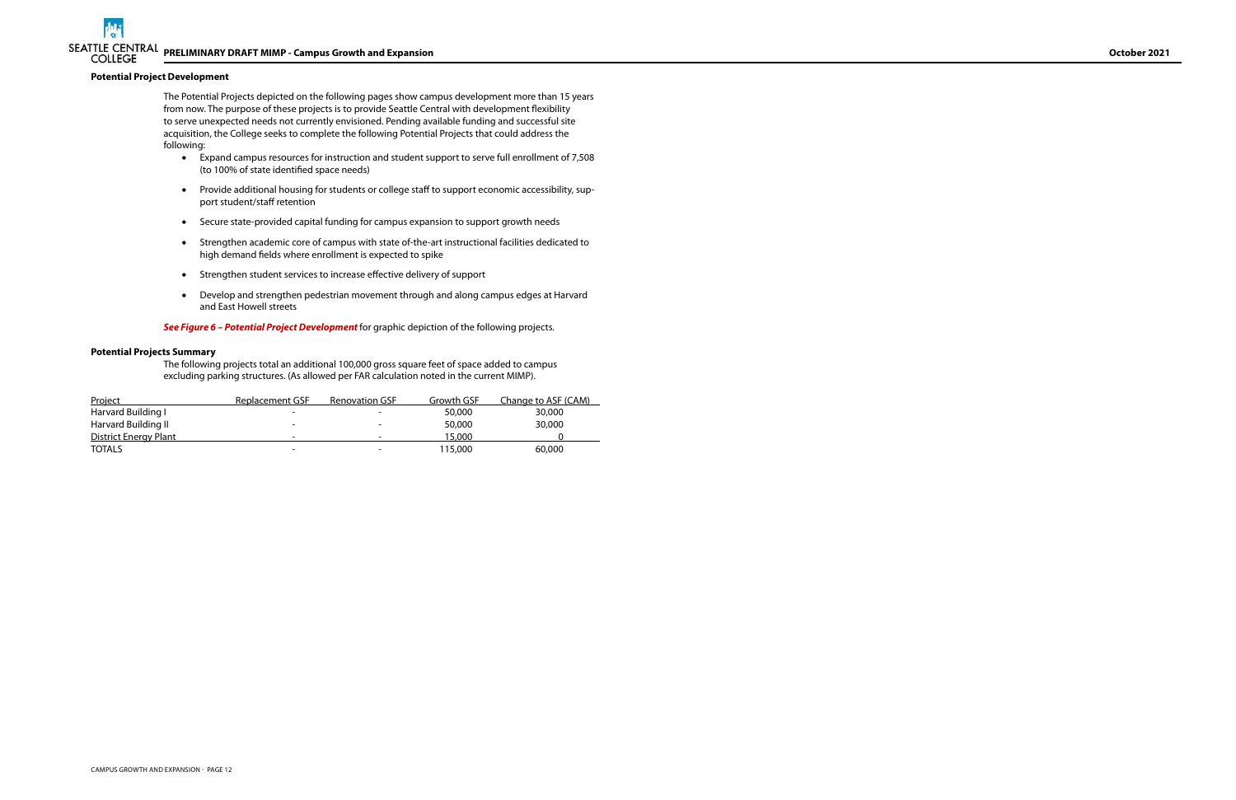#### **Potential Project Development**

 The Potential Projects depicted on the following pages show campus development more than 15 years from now. The purpose of these projects is to provide Seattle Central with development flexibility to serve unexpected needs not currently envisioned. Pending available funding and successful site acquisition, the College seeks to complete the following Potential Projects that could address the following:

- · Expand campus resources for instruction and student support to serve full enrollment of 7,508 (to 100% of state identified space needs)
- · Provide additional housing for students or college staff to support economic accessibility, support student/staff retention
- · Secure state-provided capital funding for campus expansion to support growth needs
- · Strengthen academic core of campus with state of-the-art instructional facilities dedicated to high demand fields where enrollment is expected to spike
- Strengthen student services to increase effective delivery of support
- · Develop and strengthen pedestrian movement through and along campus edges at Harvard and East Howell streets

**See Figure 6 – Potential Project Development** for graphic depiction of the following projects.

#### **Potential Projects Summary**

The following projects total an additional 100,000 gross square feet of space added to campus excluding parking structures. (As allowed per FAR calculation noted in the current MIMP).

| Project                      | Replacement GSF | <b>Renovation GSF</b>    | Growth GSF | <u>Change to ASF (CAM)</u> |
|------------------------------|-----------------|--------------------------|------------|----------------------------|
| Harvard Building I           |                 |                          | 50,000     | 30,000                     |
| Harvard Building II          |                 | $\overline{\phantom{a}}$ | 50,000     | 30,000                     |
| <b>District Energy Plant</b> |                 | $\overline{\phantom{a}}$ | 15,000     |                            |
| <b>TOTALS</b>                | -               | $\overline{\phantom{a}}$ | 115,000    | 60,000                     |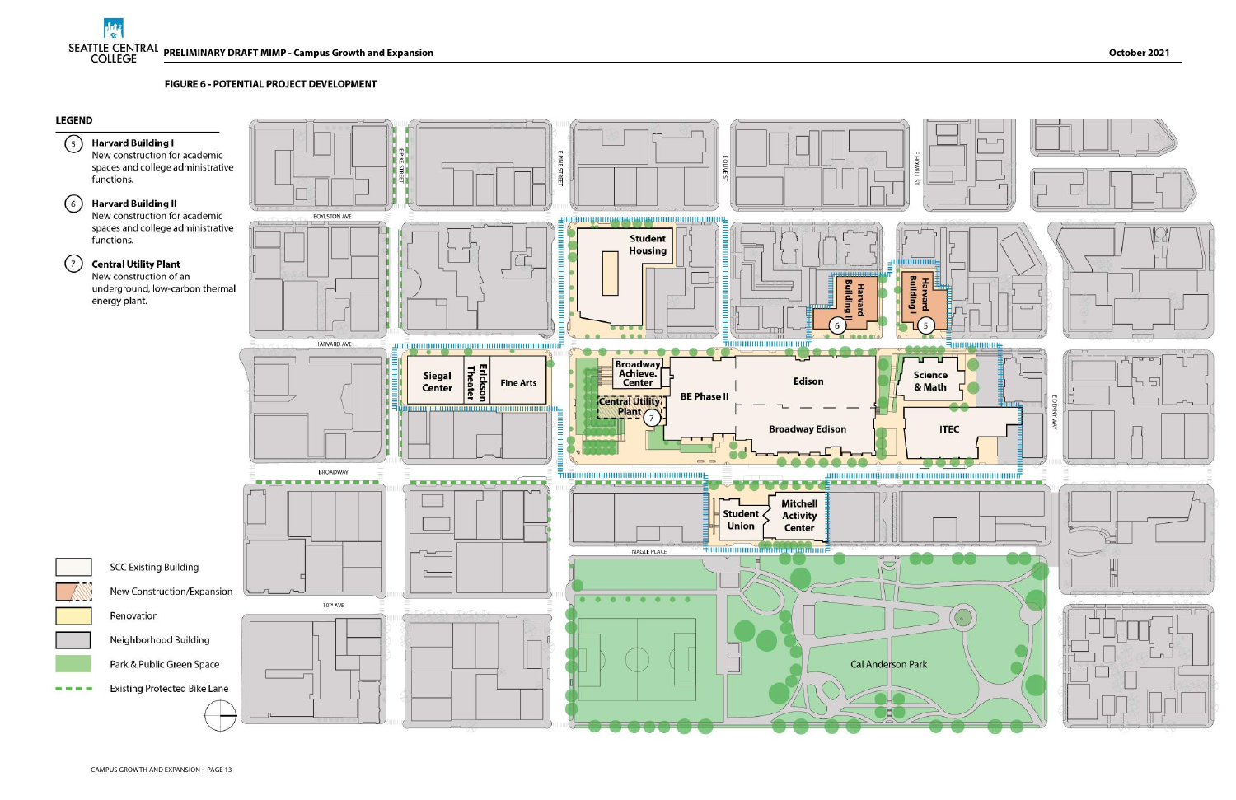FIGURE 6 - POTENTIAL PROJECT DEVELOPMENT

## **LEGEND**